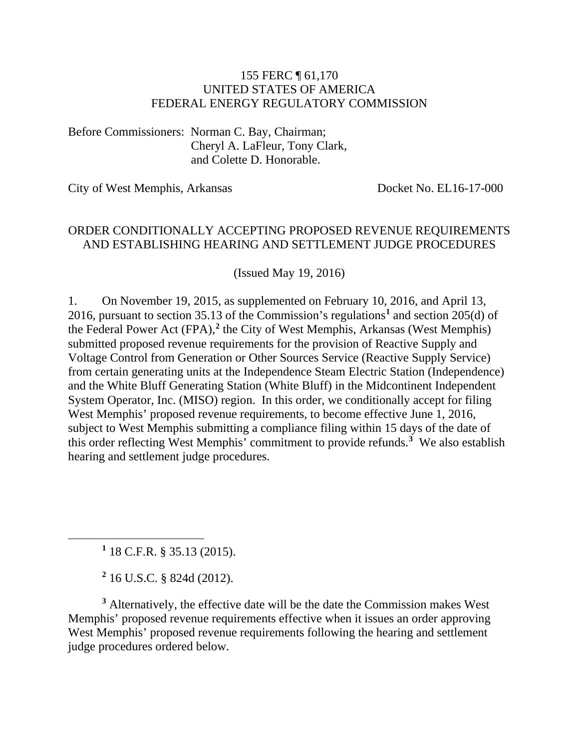#### 155 FERC ¶ 61,170 UNITED STATES OF AMERICA FEDERAL ENERGY REGULATORY COMMISSION

Before Commissioners: Norman C. Bay, Chairman; Cheryl A. LaFleur, Tony Clark, and Colette D. Honorable.

City of West Memphis, Arkansas Docket No. EL16-17-000

#### ORDER CONDITIONALLY ACCEPTING PROPOSED REVENUE REQUIREMENTS AND ESTABLISHING HEARING AND SETTLEMENT JUDGE PROCEDURES

(Issued May 19, 2016)

1. On November 19, 2015, as supplemented on February 10, 2016, and April 13, 2016, pursuant to section 35.13 of the Commission's regulations**[1](#page-0-0)** and section 205(d) of the Federal Power Act (FPA),**[2](#page-0-1)** the City of West Memphis, Arkansas (West Memphis) submitted proposed revenue requirements for the provision of Reactive Supply and Voltage Control from Generation or Other Sources Service (Reactive Supply Service) from certain generating units at the Independence Steam Electric Station (Independence) and the White Bluff Generating Station (White Bluff) in the Midcontinent Independent System Operator, Inc. (MISO) region. In this order, we conditionally accept for filing West Memphis' proposed revenue requirements, to become effective June 1, 2016, subject to West Memphis submitting a compliance filing within 15 days of the date of this order reflecting West Memphis' commitment to provide refunds.**[3](#page-0-2)** We also establish hearing and settlement judge procedures.

**<sup>1</sup>** 18 C.F.R. § 35.13 (2015).

<span id="page-0-0"></span> $\overline{a}$ 

**<sup>2</sup>** 16 U.S.C. § 824d (2012).

<span id="page-0-2"></span><span id="page-0-1"></span>**<sup>3</sup>** Alternatively, the effective date will be the date the Commission makes West Memphis' proposed revenue requirements effective when it issues an order approving West Memphis' proposed revenue requirements following the hearing and settlement judge procedures ordered below.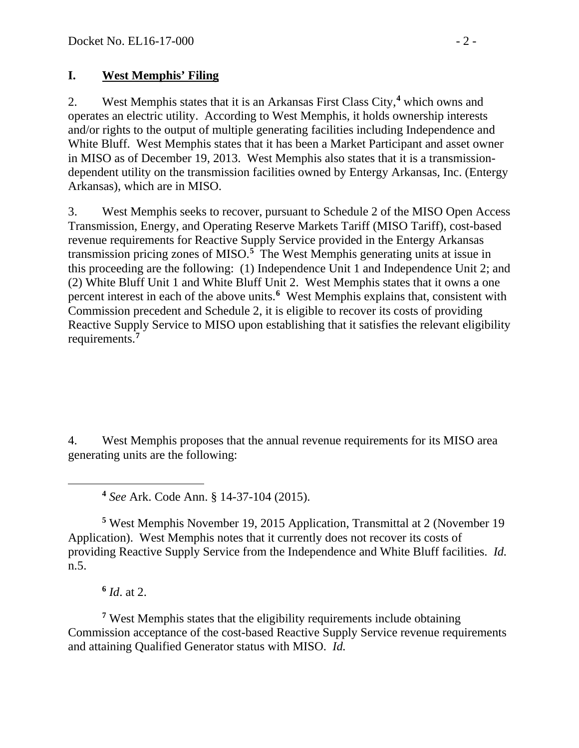### **I. West Memphis' Filing**

2. West Memphis states that it is an Arkansas First Class City, **[4](#page-1-0)** which owns and operates an electric utility. According to West Memphis, it holds ownership interests and/or rights to the output of multiple generating facilities including Independence and White Bluff. West Memphis states that it has been a Market Participant and asset owner in MISO as of December 19, 2013. West Memphis also states that it is a transmissiondependent utility on the transmission facilities owned by Entergy Arkansas, Inc. (Entergy Arkansas), which are in MISO.

3. West Memphis seeks to recover, pursuant to Schedule 2 of the MISO Open Access Transmission, Energy, and Operating Reserve Markets Tariff (MISO Tariff), cost-based revenue requirements for Reactive Supply Service provided in the Entergy Arkansas transmission pricing zones of MISO.**[5](#page-1-1)** The West Memphis generating units at issue in this proceeding are the following: (1) Independence Unit 1 and Independence Unit 2; and (2) White Bluff Unit 1 and White Bluff Unit 2. West Memphis states that it owns a one percent interest in each of the above units.<sup>[6](#page-1-2)</sup> West Memphis explains that, consistent with Commission precedent and Schedule 2, it is eligible to recover its costs of providing Reactive Supply Service to MISO upon establishing that it satisfies the relevant eligibility requirements.**[7](#page-1-3)**

4. West Memphis proposes that the annual revenue requirements for its MISO area generating units are the following:

**<sup>4</sup>** *See* Ark. Code Ann. § 14-37-104 (2015).

<span id="page-1-1"></span>**<sup>5</sup>** West Memphis November 19, 2015 Application, Transmittal at 2 (November 19 Application). West Memphis notes that it currently does not recover its costs of providing Reactive Supply Service from the Independence and White Bluff facilities. *Id.* n.5.

**<sup>6</sup>** *Id*. at 2.

<span id="page-1-0"></span> $\overline{a}$ 

<span id="page-1-3"></span><span id="page-1-2"></span>**<sup>7</sup>** West Memphis states that the eligibility requirements include obtaining Commission acceptance of the cost-based Reactive Supply Service revenue requirements and attaining Qualified Generator status with MISO. *Id.*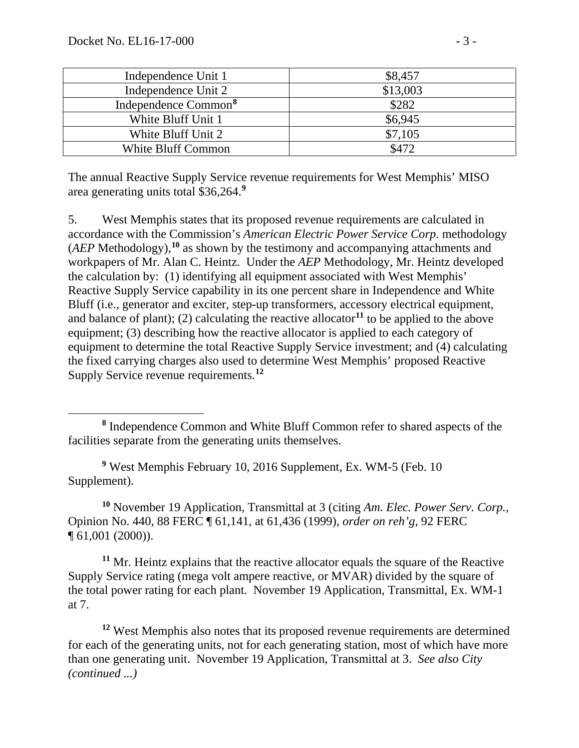$\overline{a}$ 

| Independence Unit 1              | \$8,457   |
|----------------------------------|-----------|
| Independence Unit 2              | \$13,003  |
| Independence Common <sup>8</sup> | \$282     |
| White Bluff Unit 1               | \$6,945   |
| White Bluff Unit 2               | \$7,105   |
| White Bluff Common               | $\Lambda$ |

The annual Reactive Supply Service revenue requirements for West Memphis' MISO area generating units total \$36,264.**[9](#page-2-1)**

5. West Memphis states that its proposed revenue requirements are calculated in accordance with the Commission's *American Electric Power Service Corp.* methodology (*AEP* Methodology), **[10](#page-2-2)** as shown by the testimony and accompanying attachments and workpapers of Mr. Alan C. Heintz. Under the *AEP* Methodology, Mr. Heintz developed the calculation by: (1) identifying all equipment associated with West Memphis' Reactive Supply Service capability in its one percent share in Independence and White Bluff (i.e., generator and exciter, step-up transformers, accessory electrical equipment, and balance of plant); (2) calculating the reactive allocator**[11](#page-2-3)** to be applied to the above equipment; (3) describing how the reactive allocator is applied to each category of equipment to determine the total Reactive Supply Service investment; and (4) calculating the fixed carrying charges also used to determine West Memphis' proposed Reactive Supply Service revenue requirements.**[12](#page-2-4)**

<span id="page-2-1"></span>**<sup>9</sup>** West Memphis February 10, 2016 Supplement, Ex. WM-5 (Feb. 10 Supplement).

<span id="page-2-2"></span>**<sup>10</sup>** November 19 Application, Transmittal at 3 (citing *Am. Elec. Power Serv. Corp.*, Opinion No. 440, 88 FERC ¶ 61,141, at 61,436 (1999), *order on reh'g*, 92 FERC ¶ 61,001 (2000)).

<span id="page-2-3"></span>**<sup>11</sup>** Mr. Heintz explains that the reactive allocator equals the square of the Reactive Supply Service rating (mega volt ampere reactive, or MVAR) divided by the square of the total power rating for each plant. November 19 Application, Transmittal, Ex. WM-1 at 7.

<span id="page-2-4"></span>**<sup>12</sup>** West Memphis also notes that its proposed revenue requirements are determined for each of the generating units, not for each generating station, most of which have more than one generating unit. November 19 Application, Transmittal at 3. *See also City (continued ...)*

<span id="page-2-0"></span>**<sup>8</sup>** Independence Common and White Bluff Common refer to shared aspects of the facilities separate from the generating units themselves.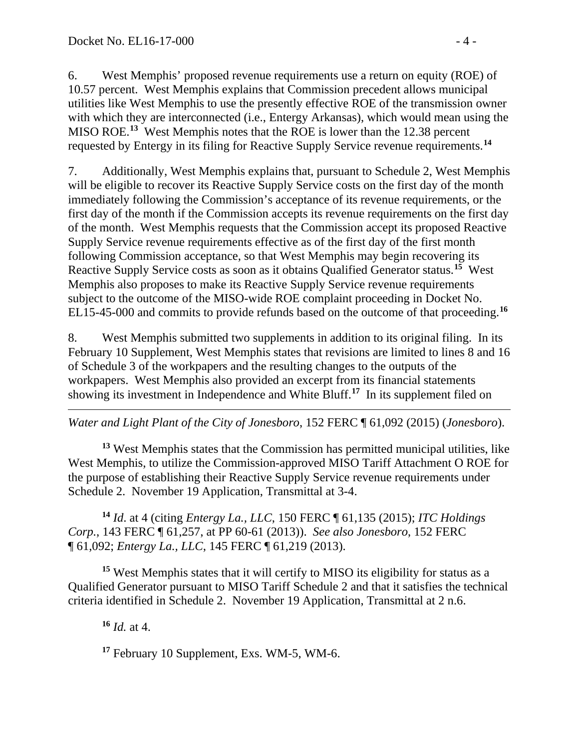6. West Memphis' proposed revenue requirements use a return on equity (ROE) of 10.57 percent. West Memphis explains that Commission precedent allows municipal utilities like West Memphis to use the presently effective ROE of the transmission owner with which they are interconnected (i.e., Entergy Arkansas), which would mean using the MISO ROE.**[13](#page-3-0)** West Memphis notes that the ROE is lower than the 12.38 percent requested by Entergy in its filing for Reactive Supply Service revenue requirements.**[14](#page-3-1)**

7. Additionally, West Memphis explains that, pursuant to Schedule 2, West Memphis will be eligible to recover its Reactive Supply Service costs on the first day of the month immediately following the Commission's acceptance of its revenue requirements, or the first day of the month if the Commission accepts its revenue requirements on the first day of the month. West Memphis requests that the Commission accept its proposed Reactive Supply Service revenue requirements effective as of the first day of the first month following Commission acceptance, so that West Memphis may begin recovering its Reactive Supply Service costs as soon as it obtains Qualified Generator status.**[15](#page-3-2)** West Memphis also proposes to make its Reactive Supply Service revenue requirements subject to the outcome of the MISO-wide ROE complaint proceeding in Docket No. EL15-45-000 and commits to provide refunds based on the outcome of that proceeding. **[16](#page-3-3)**

8. West Memphis submitted two supplements in addition to its original filing. In its February 10 Supplement, West Memphis states that revisions are limited to lines 8 and 16 of Schedule 3 of the workpapers and the resulting changes to the outputs of the workpapers. West Memphis also provided an excerpt from its financial statements showing its investment in Independence and White Bluff.**[17](#page-3-4)** In its supplement filed on

 $\overline{a}$ *Water and Light Plant of the City of Jonesboro*, 152 FERC ¶ 61,092 (2015) (*Jonesboro*).

<span id="page-3-0"></span>**<sup>13</sup>** West Memphis states that the Commission has permitted municipal utilities, like West Memphis, to utilize the Commission-approved MISO Tariff Attachment O ROE for the purpose of establishing their Reactive Supply Service revenue requirements under Schedule 2. November 19 Application, Transmittal at 3-4.

<span id="page-3-1"></span>**<sup>14</sup>** *Id*. at 4 (citing *Entergy La., LLC*, 150 FERC ¶ 61,135 (2015); *ITC Holdings Corp.*, 143 FERC ¶ 61,257, at PP 60-61 (2013)). *See also Jonesboro*, 152 FERC ¶ 61,092; *Entergy La., LLC*, 145 FERC ¶ 61,219 (2013).

<span id="page-3-3"></span><span id="page-3-2"></span>**<sup>15</sup>** West Memphis states that it will certify to MISO its eligibility for status as a Qualified Generator pursuant to MISO Tariff Schedule 2 and that it satisfies the technical criteria identified in Schedule 2. November 19 Application, Transmittal at 2 n.6.

**<sup>16</sup>** *Id.* at 4.

<span id="page-3-4"></span>**<sup>17</sup>** February 10 Supplement, Exs. WM-5, WM-6.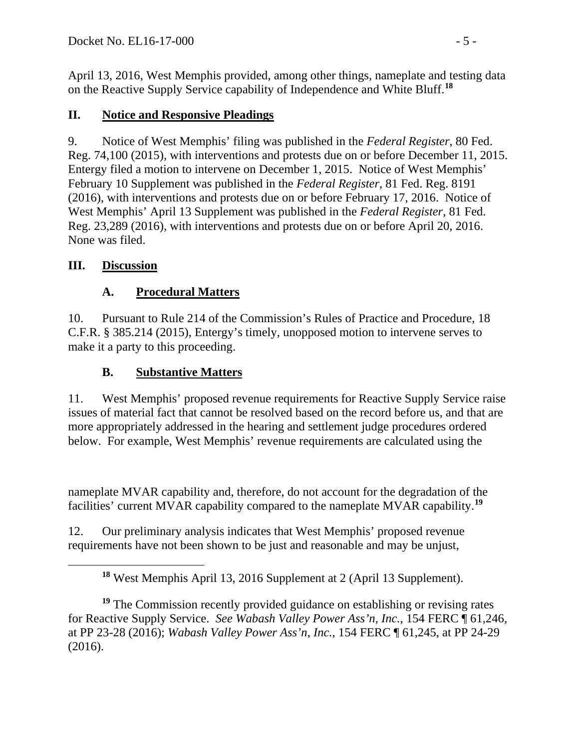April 13, 2016, West Memphis provided, among other things, nameplate and testing data on the Reactive Supply Service capability of Independence and White Bluff.**[18](#page-4-0)**

## **II. Notice and Responsive Pleadings**

9. Notice of West Memphis' filing was published in the *Federal Register*, 80 Fed. Reg. 74,100 (2015), with interventions and protests due on or before December 11, 2015. Entergy filed a motion to intervene on December 1, 2015. Notice of West Memphis' February 10 Supplement was published in the *Federal Register*, 81 Fed. Reg. 8191 (2016), with interventions and protests due on or before February 17, 2016. Notice of West Memphis' April 13 Supplement was published in the *Federal Register*, 81 Fed. Reg. 23,289 (2016), with interventions and protests due on or before April 20, 2016. None was filed.

### **III. Discussion**

<span id="page-4-0"></span> $\overline{a}$ 

# **A. Procedural Matters**

10. Pursuant to Rule 214 of the Commission's Rules of Practice and Procedure, 18 C.F.R. § 385.214 (2015), Entergy's timely, unopposed motion to intervene serves to make it a party to this proceeding.

# **B. Substantive Matters**

11. West Memphis' proposed revenue requirements for Reactive Supply Service raise issues of material fact that cannot be resolved based on the record before us, and that are more appropriately addressed in the hearing and settlement judge procedures ordered below. For example, West Memphis' revenue requirements are calculated using the

nameplate MVAR capability and, therefore, do not account for the degradation of the facilities' current MVAR capability compared to the nameplate MVAR capability.**[19](#page-4-1)**

12. Our preliminary analysis indicates that West Memphis' proposed revenue requirements have not been shown to be just and reasonable and may be unjust,

**<sup>18</sup>** West Memphis April 13, 2016 Supplement at 2 (April 13 Supplement).

<span id="page-4-1"></span><sup>&</sup>lt;sup>19</sup> The Commission recently provided guidance on establishing or revising rates for Reactive Supply Service. *See Wabash Valley Power Ass'n, Inc.*, 154 FERC ¶ 61,246, at PP 23-28 (2016); *Wabash Valley Power Ass'n, Inc.*, 154 FERC ¶ 61,245, at PP 24-29 (2016).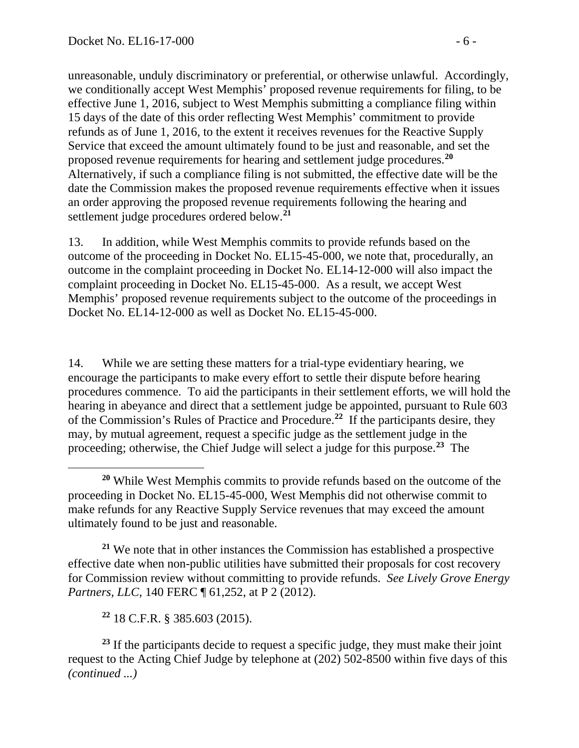unreasonable, unduly discriminatory or preferential, or otherwise unlawful. Accordingly, we conditionally accept West Memphis' proposed revenue requirements for filing, to be effective June 1, 2016, subject to West Memphis submitting a compliance filing within 15 days of the date of this order reflecting West Memphis' commitment to provide refunds as of June 1, 2016, to the extent it receives revenues for the Reactive Supply Service that exceed the amount ultimately found to be just and reasonable, and set the proposed revenue requirements for hearing and settlement judge procedures.**[20](#page-5-0)** Alternatively, if such a compliance filing is not submitted, the effective date will be the date the Commission makes the proposed revenue requirements effective when it issues an order approving the proposed revenue requirements following the hearing and settlement judge procedures ordered below.**[21](#page-5-1)**

13. In addition, while West Memphis commits to provide refunds based on the outcome of the proceeding in Docket No. EL15-45-000, we note that, procedurally, an outcome in the complaint proceeding in Docket No. EL14-12-000 will also impact the complaint proceeding in Docket No. EL15-45-000. As a result, we accept West Memphis' proposed revenue requirements subject to the outcome of the proceedings in Docket No. EL14-12-000 as well as Docket No. EL15-45-000.

14. While we are setting these matters for a trial-type evidentiary hearing, we encourage the participants to make every effort to settle their dispute before hearing procedures commence. To aid the participants in their settlement efforts, we will hold the hearing in abeyance and direct that a settlement judge be appointed, pursuant to Rule 603 of the Commission's Rules of Practice and Procedure.**[22](#page-5-2)** If the participants desire, they may, by mutual agreement, request a specific judge as the settlement judge in the proceeding; otherwise, the Chief Judge will select a judge for this purpose.**[23](#page-5-3)** The

<span id="page-5-1"></span>**<sup>21</sup>** We note that in other instances the Commission has established a prospective effective date when non-public utilities have submitted their proposals for cost recovery for Commission review without committing to provide refunds. *See Lively Grove Energy Partners, LLC, 140 FERC*  $\sqrt{61,252}$ , at P 2 (2012).

**<sup>22</sup>** 18 C.F.R. § 385.603 (2015).

<span id="page-5-3"></span><span id="page-5-2"></span><sup>23</sup> If the participants decide to request a specific judge, they must make their joint request to the Acting Chief Judge by telephone at (202) 502-8500 within five days of this *(continued ...)*

<span id="page-5-0"></span> $\overline{a}$ **<sup>20</sup>** While West Memphis commits to provide refunds based on the outcome of the proceeding in Docket No. EL15-45-000, West Memphis did not otherwise commit to make refunds for any Reactive Supply Service revenues that may exceed the amount ultimately found to be just and reasonable.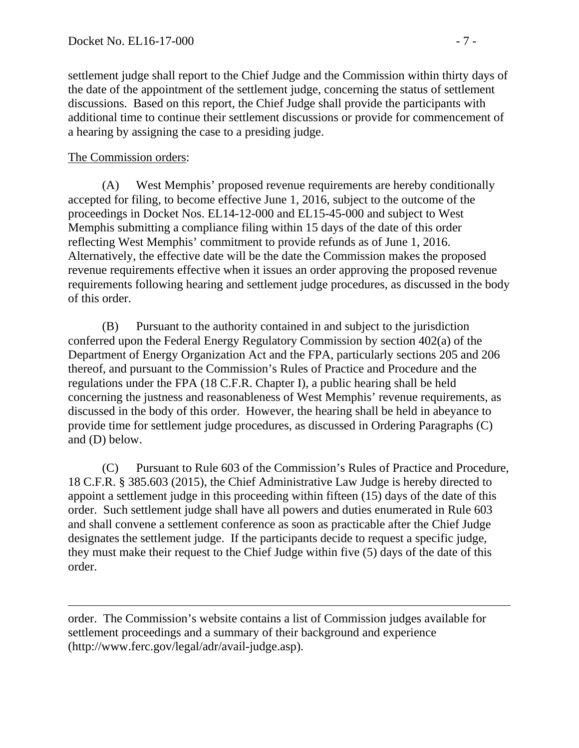settlement judge shall report to the Chief Judge and the Commission within thirty days of the date of the appointment of the settlement judge, concerning the status of settlement discussions. Based on this report, the Chief Judge shall provide the participants with additional time to continue their settlement discussions or provide for commencement of a hearing by assigning the case to a presiding judge.

#### The Commission orders:

 $\overline{a}$ 

(A) West Memphis' proposed revenue requirements are hereby conditionally accepted for filing, to become effective June 1, 2016, subject to the outcome of the proceedings in Docket Nos. EL14-12-000 and EL15-45-000 and subject to West Memphis submitting a compliance filing within 15 days of the date of this order reflecting West Memphis' commitment to provide refunds as of June 1, 2016. Alternatively, the effective date will be the date the Commission makes the proposed revenue requirements effective when it issues an order approving the proposed revenue requirements following hearing and settlement judge procedures, as discussed in the body of this order.

(B) Pursuant to the authority contained in and subject to the jurisdiction conferred upon the Federal Energy Regulatory Commission by section 402(a) of the Department of Energy Organization Act and the FPA, particularly sections 205 and 206 thereof, and pursuant to the Commission's Rules of Practice and Procedure and the regulations under the FPA (18 C.F.R. Chapter I), a public hearing shall be held concerning the justness and reasonableness of West Memphis' revenue requirements, as discussed in the body of this order. However, the hearing shall be held in abeyance to provide time for settlement judge procedures, as discussed in Ordering Paragraphs (C) and (D) below.

(C) Pursuant to Rule 603 of the Commission's Rules of Practice and Procedure, 18 C.F.R. § 385.603 (2015), the Chief Administrative Law Judge is hereby directed to appoint a settlement judge in this proceeding within fifteen (15) days of the date of this order. Such settlement judge shall have all powers and duties enumerated in Rule 603 and shall convene a settlement conference as soon as practicable after the Chief Judge designates the settlement judge. If the participants decide to request a specific judge, they must make their request to the Chief Judge within five (5) days of the date of this order.

order. The Commission's website contains a list of Commission judges available for settlement proceedings and a summary of their background and experience (http://www.ferc.gov/legal/adr/avail-judge.asp).